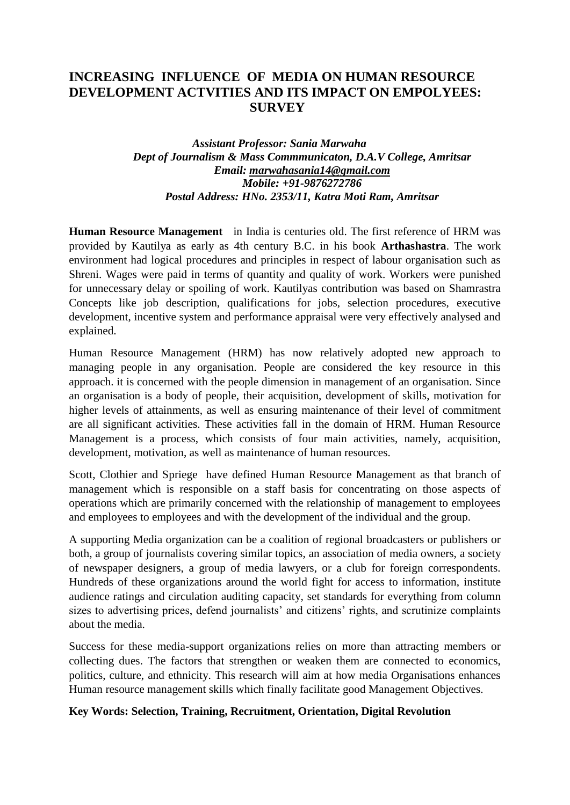# **INCREASING INFLUENCE OF MEDIA ON HUMAN RESOURCE DEVELOPMENT ACTVITIES AND ITS IMPACT ON EMPOLYEES: SURVEY**

### *Assistant Professor: Sania Marwaha Dept of Journalism & Mass Commmunicaton, D.A.V College, Amritsar Email: [marwahasania14@gmail.com](mailto:marwahasania14@gmail.com) Mobile: +91-9876272786 Postal Address: HNo. 2353/11, Katra Moti Ram, Amritsar*

**Human Resource Management** in India is centuries old. The first reference of HRM was provided by Kautilya as early as 4th century B.C. in his book **Arthashastra**. The work environment had logical procedures and principles in respect of labour organisation such as Shreni. Wages were paid in terms of quantity and quality of work. Workers were punished for unnecessary delay or spoiling of work. Kautilyas contribution was based on Shamrastra Concepts like job description, qualifications for jobs, selection procedures, executive development, incentive system and performance appraisal were very effectively analysed and explained.

Human Resource Management (HRM) has now relatively adopted new approach to managing people in any organisation. People are considered the key resource in this approach. it is concerned with the people dimension in management of an organisation. Since an organisation is a body of people, their acquisition, development of skills, motivation for higher levels of attainments, as well as ensuring maintenance of their level of commitment are all significant activities. These activities fall in the domain of HRM. Human Resource Management is a process, which consists of four main activities, namely, acquisition, development, motivation, as well as maintenance of human resources.

Scott, Clothier and Spriege have defined Human Resource Management as that branch of management which is responsible on a staff basis for concentrating on those aspects of operations which are primarily concerned with the relationship of management to employees and employees to employees and with the development of the individual and the group.

A supporting Media organization can be a coalition of regional broadcasters or publishers or both, a group of journalists covering similar topics, an association of media owners, a society of newspaper designers, a group of media lawyers, or a club for foreign correspondents. Hundreds of these organizations around the world fight for access to information, institute audience ratings and circulation auditing capacity, set standards for everything from column sizes to advertising prices, defend journalists' and citizens' rights, and scrutinize complaints about the media.

Success for these media-support organizations relies on more than attracting members or collecting dues. The factors that strengthen or weaken them are connected to economics, politics, culture, and ethnicity. This research will aim at how media Organisations enhances Human resource management skills which finally facilitate good Management Objectives.

#### **Key Words: Selection, Training, Recruitment, Orientation, Digital Revolution**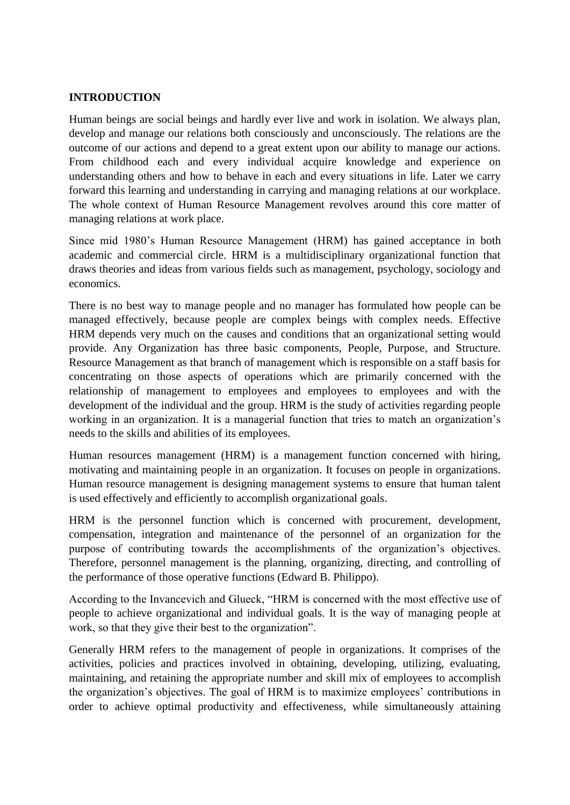### **INTRODUCTION**

Human beings are social beings and hardly ever live and work in isolation. We always plan, develop and manage our relations both consciously and unconsciously. The relations are the outcome of our actions and depend to a great extent upon our ability to manage our actions. From childhood each and every individual acquire knowledge and experience on understanding others and how to behave in each and every situations in life. Later we carry forward this learning and understanding in carrying and managing relations at our workplace. The whole context of Human Resource Management revolves around this core matter of managing relations at work place.

Since mid 1980's Human Resource Management (HRM) has gained acceptance in both academic and commercial circle. HRM is a multidisciplinary organizational function that draws theories and ideas from various fields such as management, psychology, sociology and economics.

There is no best way to manage people and no manager has formulated how people can be managed effectively, because people are complex beings with complex needs. Effective HRM depends very much on the causes and conditions that an organizational setting would provide. Any Organization has three basic components, People, Purpose, and Structure. Resource Management as that branch of management which is responsible on a staff basis for concentrating on those aspects of operations which are primarily concerned with the relationship of management to employees and employees to employees and with the development of the individual and the group. HRM is the study of activities regarding people working in an organization. It is a managerial function that tries to match an organization's needs to the skills and abilities of its employees.

Human resources management (HRM) is a management function concerned with hiring, motivating and maintaining people in an organization. It focuses on people in organizations. Human resource management is designing management systems to ensure that human talent is used effectively and efficiently to accomplish organizational goals.

HRM is the personnel function which is concerned with procurement, development, compensation, integration and maintenance of the personnel of an organization for the purpose of contributing towards the accomplishments of the organization's objectives. Therefore, personnel management is the planning, organizing, directing, and controlling of the performance of those operative functions (Edward B. Philippo).

According to the Invancevich and Glueck, "HRM is concerned with the most effective use of people to achieve organizational and individual goals. It is the way of managing people at work, so that they give their best to the organization".

Generally HRM refers to the management of people in organizations. It comprises of the activities, policies and practices involved in obtaining, developing, utilizing, evaluating, maintaining, and retaining the appropriate number and skill mix of employees to accomplish the organization's objectives. The goal of HRM is to maximize employees' contributions in order to achieve optimal productivity and effectiveness, while simultaneously attaining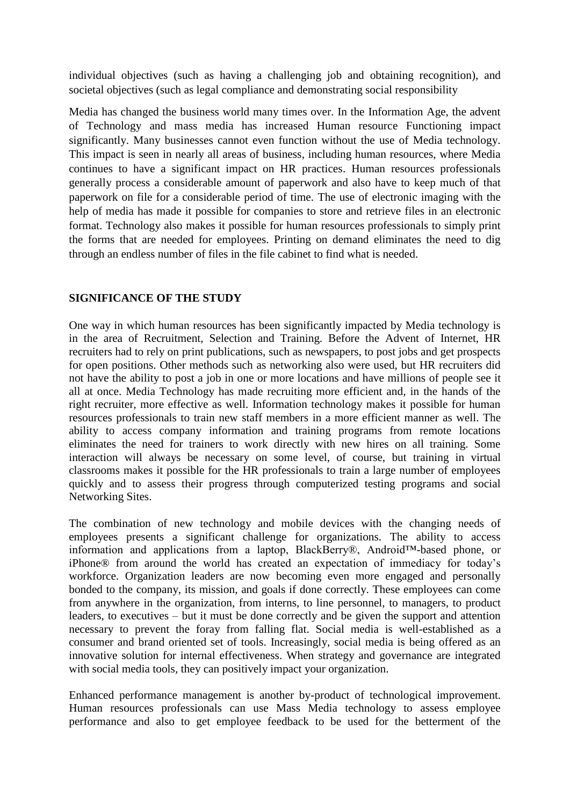individual objectives (such as having a challenging job and obtaining recognition), and societal objectives (such as legal compliance and demonstrating social responsibility

Media has changed the business world many times over. In the Information Age, the advent of Technology and mass media has increased Human resource Functioning impact significantly. Many businesses cannot even function without the use of Media technology. This impact is seen in nearly all areas of business, including human resources, where Media continues to have a significant impact on HR practices. Human resources professionals generally process a considerable amount of paperwork and also have to keep much of that paperwork on file for a considerable period of time. The use of electronic imaging with the help of media has made it possible for companies to store and retrieve files in an electronic format. Technology also makes it possible for human resources professionals to simply print the forms that are needed for employees. Printing on demand eliminates the need to dig through an endless number of files in the file cabinet to find what is needed.

# **SIGNIFICANCE OF THE STUDY**

One way in which human resources has been significantly impacted by Media technology is in the area of Recruitment, Selection and Training. Before the Advent of Internet, HR recruiters had to rely on print publications, such as newspapers, to post jobs and get prospects for open positions. Other methods such as networking also were used, but HR recruiters did not have the ability to post a job in one or more locations and have millions of people see it all at once. Media Technology has made recruiting more efficient and, in the hands of the right recruiter, more effective as well. Information technology makes it possible for human resources professionals to train new staff members in a more efficient manner as well. The ability to access company information and training programs from remote locations eliminates the need for trainers to work directly with new hires on all training. Some interaction will always be necessary on some level, of course, but training in virtual classrooms makes it possible for the HR professionals to train a large number of employees quickly and to assess their progress through computerized testing programs and social Networking Sites.

The combination of new technology and mobile devices with the changing needs of employees presents a significant challenge for organizations. The ability to access information and applications from a laptop, BlackBerry®, Android™-based phone, or iPhone® from around the world has created an expectation of immediacy for today's workforce. Organization leaders are now becoming even more engaged and personally bonded to the company, its mission, and goals if done correctly. These employees can come from anywhere in the organization, from interns, to line personnel, to managers, to product leaders, to executives – but it must be done correctly and be given the support and attention necessary to prevent the foray from falling flat. Social media is well-established as a consumer and brand oriented set of tools. Increasingly, social media is being offered as an innovative solution for internal effectiveness. When strategy and governance are integrated with social media tools, they can positively impact your organization.

Enhanced performance management is another by-product of technological improvement. Human resources professionals can use Mass Media technology to assess employee performance and also to get employee feedback to be used for the betterment of the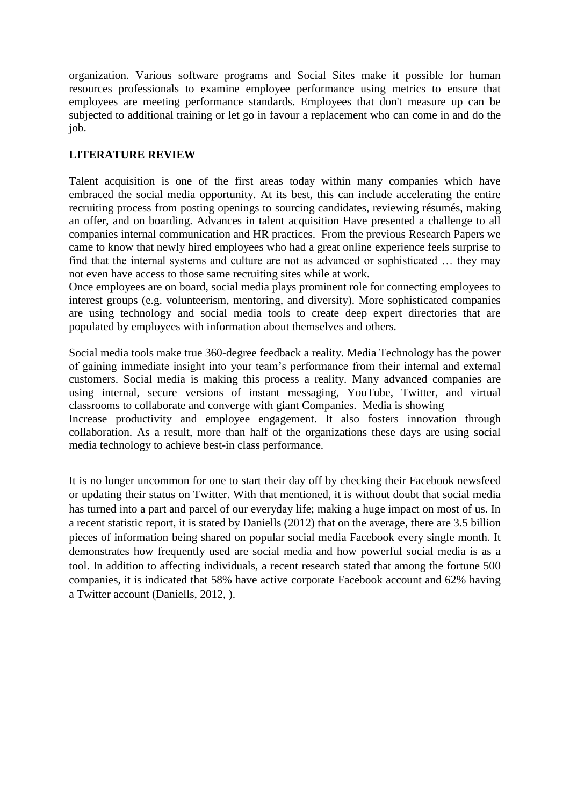organization. Various software programs and Social Sites make it possible for human resources professionals to examine employee performance using metrics to ensure that employees are meeting performance standards. Employees that don't measure up can be subjected to additional training or let go in favour a replacement who can come in and do the job.

# **LITERATURE REVIEW**

Talent acquisition is one of the first areas today within many companies which have embraced the social media opportunity. At its best, this can include accelerating the entire recruiting process from posting openings to sourcing candidates, reviewing résumés, making an offer, and on boarding. Advances in talent acquisition Have presented a challenge to all companies internal communication and HR practices. From the previous Research Papers we came to know that newly hired employees who had a great online experience feels surprise to find that the internal systems and culture are not as advanced or sophisticated … they may not even have access to those same recruiting sites while at work.

Once employees are on board, social media plays prominent role for connecting employees to interest groups (e.g. volunteerism, mentoring, and diversity). More sophisticated companies are using technology and social media tools to create deep expert directories that are populated by employees with information about themselves and others.

Social media tools make true 360-degree feedback a reality. Media Technology has the power of gaining immediate insight into your team's performance from their internal and external customers. Social media is making this process a reality. Many advanced companies are using internal, secure versions of instant messaging, YouTube, Twitter, and virtual classrooms to collaborate and converge with giant Companies. Media is showing

Increase productivity and employee engagement. It also fosters innovation through collaboration. As a result, more than half of the organizations these days are using social media technology to achieve best-in class performance.

It is no longer uncommon for one to start their day off by checking their Facebook newsfeed or updating their status on Twitter. With that mentioned, it is without doubt that social media has turned into a part and parcel of our everyday life; making a huge impact on most of us. In a recent statistic report, it is stated by Daniells (2012) that on the average, there are 3.5 billion pieces of information being shared on popular social media Facebook every single month. It demonstrates how frequently used are social media and how powerful social media is as a tool. In addition to affecting individuals, a recent research stated that among the fortune 500 companies, it is indicated that 58% have active corporate Facebook account and 62% having a Twitter account (Daniells, 2012, ).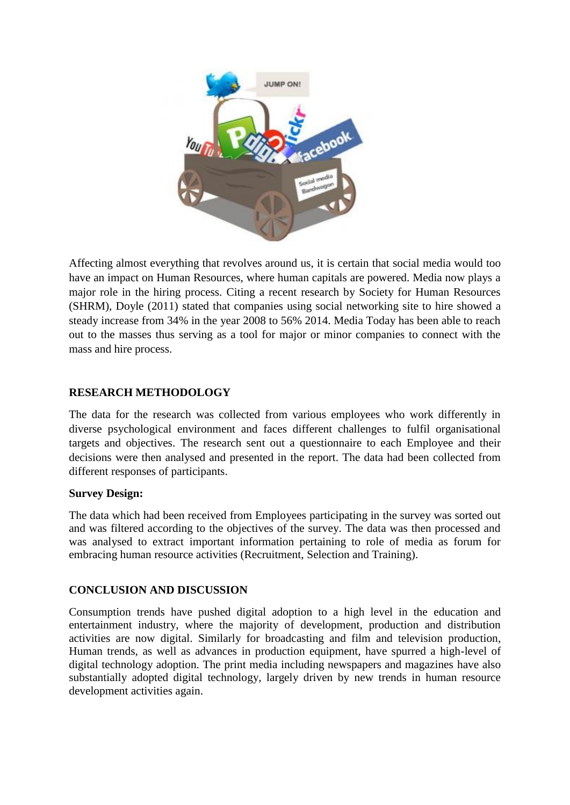

Affecting almost everything that revolves around us, it is certain that social media would too have an impact on Human Resources, where human capitals are powered. Media now plays a major role in the hiring process. Citing a recent research by Society for Human Resources (SHRM), Doyle (2011) stated that companies using social networking site to hire showed a steady increase from 34% in the year 2008 to 56% 2014. Media Today has been able to reach out to the masses thus serving as a tool for major or minor companies to connect with the mass and hire process.

# **RESEARCH METHODOLOGY**

The data for the research was collected from various employees who work differently in diverse psychological environment and faces different challenges to fulfil organisational targets and objectives. The research sent out a questionnaire to each Employee and their decisions were then analysed and presented in the report. The data had been collected from different responses of participants.

# **Survey Design:**

The data which had been received from Employees participating in the survey was sorted out and was filtered according to the objectives of the survey. The data was then processed and was analysed to extract important information pertaining to role of media as forum for embracing human resource activities (Recruitment, Selection and Training).

# **CONCLUSION AND DISCUSSION**

Consumption trends have pushed digital adoption to a high level in the education and entertainment industry, where the majority of development, production and distribution activities are now digital. Similarly for broadcasting and film and television production, Human trends, as well as advances in production equipment, have spurred a high-level of digital technology adoption. The print media including newspapers and magazines have also substantially adopted digital technology, largely driven by new trends in human resource development activities again.